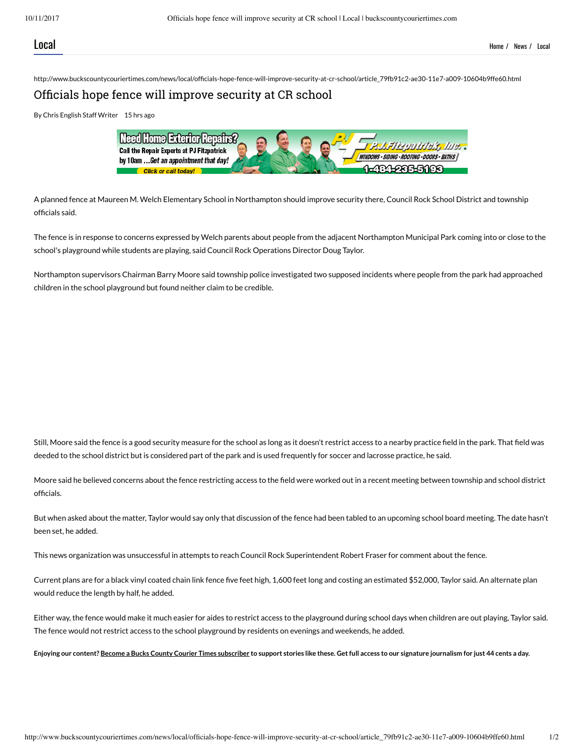http://www.buckscountycouriertimes.com/news/local/officials-hope-fence-will-improve-security-at-cr-school/article 79fb91c2-ae30-11e7-a009-10604b9ffe60.html

## Officials hope fence will improve security at CR school

By Chris English Staff Writer 15 hrs ago



A planned fence at Maureen M. Welch Elementary School in Northampton should improve security there, Council Rock School District and township officials said.

The fence is in response to concerns expressed by Welch parents about people from the adjacent Northampton Municipal Park coming into or close to the school's playground while students are playing, said Council Rock Operations Director Doug Taylor.

Northampton supervisors Chairman Barry Moore said township police investigated two supposed incidents where people from the park had approached children in the school playground but found neither claim to be credible.

Still, Moore said the fence is a good security measure for the school as long as it doesn't restrict access to a nearby practice field in the park. That field was deeded to the school district but is considered part of the park and is used frequently for soccer and lacrosse practice, he said.

Moore said he believed concerns about the fence restricting access to the eld were worked out in a recent meeting between township and school district officials.

But when asked about the matter, Taylor would say only that discussion of the fence had been tabled to an upcoming school board meeting. The date hasn't been set, he added.

This news organization was unsuccessful in attempts to reach Council Rock Superintendent Robert Fraser for comment about the fence.

Current plans are for a black vinyl coated chain link fence five feet high, 1,600 feet long and costing an estimated \$52,000, Taylor said. An alternate plan would reduce the length by half, he added.

Either way, the fence would make it much easier for aides to restrict access to the playground during school days when children are out playing, Taylor said. The fence would not restrict access to the school playground by residents on evenings and weekends, he added.

Enjoying our content? Become a Bucks County Courier Times subscriber to support stories like these. Get full access to our signature journalism for just 44 cents a day.